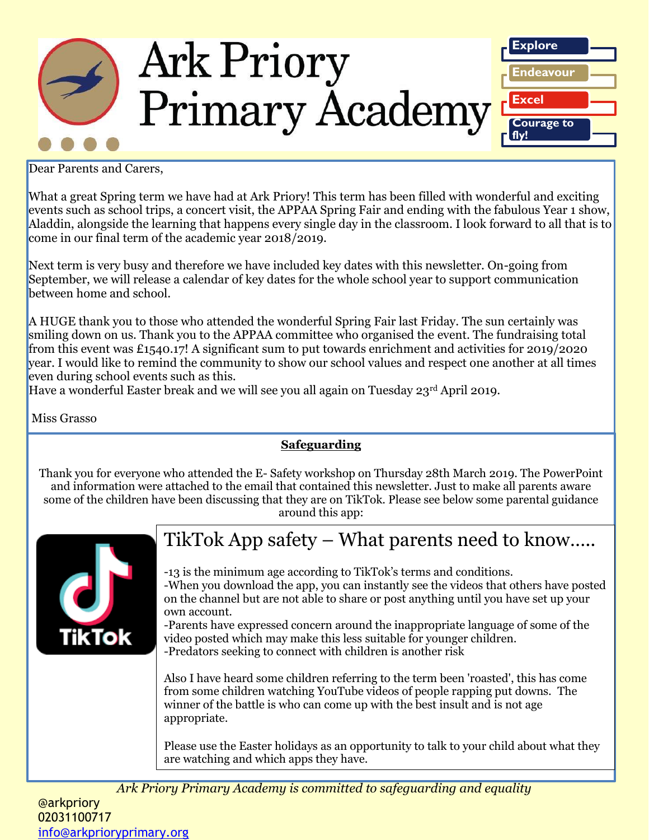

Dear Parents and Carers,

What a great Spring term we have had at Ark Priory! This term has been filled with wonderful and exciting events such as school trips, a concert visit, the APPAA Spring Fair and ending with the fabulous Year 1 show, Aladdin, alongside the learning that happens every single day in the classroom. I look forward to all that is to come in our final term of the academic year 2018/2019.

Next term is very busy and therefore we have included key dates with this newsletter. On-going from September, we will release a calendar of key dates for the whole school year to support communication between home and school.

A HUGE thank you to those who attended the wonderful Spring Fair last Friday. The sun certainly was smiling down on us. Thank you to the APPAA committee who organised the event. The fundraising total from this event was £1540.17! A significant sum to put towards enrichment and activities for 2019/2020 year. I would like to remind the community to show our school values and respect one another at all times even during school events such as this.

Have a wonderful Easter break and we will see you all again on Tuesday 23rd April 2019.

Miss Grasso

#### **Safeguarding**

Thank you for everyone who attended the E- Safety workshop on Thursday 28th March 2019. The PowerPoint and information were attached to the email that contained this newsletter. Just to make all parents aware some of the children have been discussing that they are on TikTok. Please see below some parental guidance around this app:



## TikTok App safety – What parents need to know…..

-13 is the minimum age according to TikTok's terms and conditions. -When you download the app, you can instantly see the videos that others have posted on the channel but are not able to share or post anything until you have set up your own account.

-Parents have expressed concern around the inappropriate language of some of the video posted which may make this less suitable for younger children. -Predators seeking to connect with children is another risk

Also I have heard some children referring to the term been 'roasted', this has come from some children watching YouTube videos of people rapping put downs. The winner of the battle is who can come up with the best insult and is not age appropriate.

Please use the Easter holidays as an opportunity to talk to your child about what they are watching and which apps they have.

*Ark Priory Primary Academy is committed to safeguarding and equality*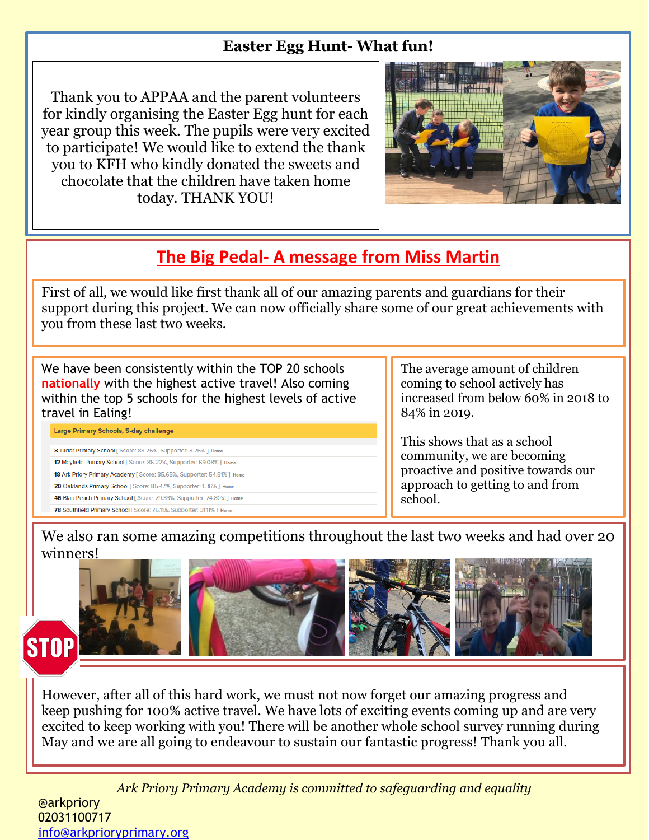#### **Easter Egg Hunt- What fun!**

Thank you to APPAA and the parent volunteers for kindly organising the Easter Egg hunt for each year group this week. The pupils were very excited to participate! We would like to extend the thank you to KFH who kindly donated the sweets and chocolate that the children have taken home today. THANK YOU!



## **The Big Pedal- A message from Miss Martin**

First of all, we would like first thank all of our amazing parents and guardians for their support during this project. We can now officially share some of our great achievements with you from these last two weeks.

We have been consistently within the TOP 20 schools **nationally** with the highest active travel! Also coming within the top 5 schools for the highest levels of active travel in Ealing!

Large Primary Schools, 5-day challenge

8 Tudor Primary School [ Score: 88.26%, Supporter: 3.26% ] Home 12 Mayfield Primary School [ Score: 86.22%, Supporter: 69.08% ] Hom 18 Ark Priory Primary Academy [ Score: 85.65%, Supporter: 54.91% ] Home 20 Oaklands Primary School [ Score: 85.47%, Supporter: 1.36% ] Home 46 Blair Peach Primary School [ Score: 79.33%, Supporter: 74.80% ] Home 78 Southfield Primary School [ Score: 75.11%. Supporter: 31.11% ] Home

The average amount of children coming to school actively has increased from below 60% in 2018 to 84% in 2019.

This shows that as a school community, we are becoming proactive and positive towards our approach to getting to and from school.

We also ran some amazing competitions throughout the last two weeks and had over 20 winners!



# **STOP**

Ī However, after all of this hard work, we must not now forget our amazing progress and keep pushing for 100% active travel. We have lots of exciting events coming up and are very excited to keep working with you! There will be another whole school survey running during May and we are all going to endeavour to sustain our fantastic progress! Thank you all.

*Ark Priory Primary Academy is committed to safeguarding and equality*  @arkpriory 02031100717 [info@arkprioryprimary.org](mailto:info@arkprioryprimary.org)